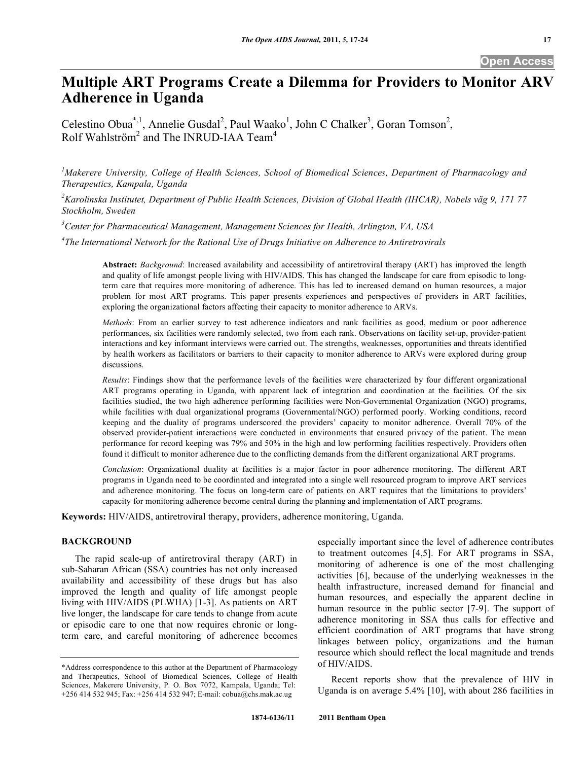# **Multiple ART Programs Create a Dilemma for Providers to Monitor ARV Adherence in Uganda**

Celestino Obua<sup>\*,1</sup>, Annelie Gusdal<sup>2</sup>, Paul Waako<sup>1</sup>, John C Chalker<sup>3</sup>, Goran Tomson<sup>2</sup>, Rolf Wahlström<sup>2</sup> and The INRUD-IAA Team<sup>4</sup>

<sup>1</sup>Makerere University, College of Health Sciences, School of Biomedical Sciences, Department of Pharmacology and *Therapeutics, Kampala, Uganda* 

*2 Karolinska Institutet, Department of Public Health Sciences, Division of Global Health (IHCAR), Nobels väg 9, 171 77 Stockholm, Sweden* 

*3 Center for Pharmaceutical Management, Management Sciences for Health, Arlington, VA, USA* 

*4 The International Network for the Rational Use of Drugs Initiative on Adherence to Antiretrovirals* 

**Abstract:** *Background*: Increased availability and accessibility of antiretroviral therapy (ART) has improved the length and quality of life amongst people living with HIV/AIDS. This has changed the landscape for care from episodic to longterm care that requires more monitoring of adherence. This has led to increased demand on human resources, a major problem for most ART programs. This paper presents experiences and perspectives of providers in ART facilities, exploring the organizational factors affecting their capacity to monitor adherence to ARVs.

*Methods*: From an earlier survey to test adherence indicators and rank facilities as good, medium or poor adherence performances, six facilities were randomly selected, two from each rank. Observations on facility set-up, provider-patient interactions and key informant interviews were carried out. The strengths, weaknesses, opportunities and threats identified by health workers as facilitators or barriers to their capacity to monitor adherence to ARVs were explored during group discussions.

*Results*: Findings show that the performance levels of the facilities were characterized by four different organizational ART programs operating in Uganda, with apparent lack of integration and coordination at the facilities. Of the six facilities studied, the two high adherence performing facilities were Non-Governmental Organization (NGO) programs, while facilities with dual organizational programs (Governmental/NGO) performed poorly. Working conditions, record keeping and the duality of programs underscored the providers' capacity to monitor adherence. Overall 70% of the observed provider-patient interactions were conducted in environments that ensured privacy of the patient. The mean performance for record keeping was 79% and 50% in the high and low performing facilities respectively. Providers often found it difficult to monitor adherence due to the conflicting demands from the different organizational ART programs.

*Conclusion*: Organizational duality at facilities is a major factor in poor adherence monitoring. The different ART programs in Uganda need to be coordinated and integrated into a single well resourced program to improve ART services and adherence monitoring. The focus on long-term care of patients on ART requires that the limitations to providers' capacity for monitoring adherence become central during the planning and implementation of ART programs.

**Keywords:** HIV/AIDS, antiretroviral therapy, providers, adherence monitoring, Uganda.

# **BACKGROUND**

 The rapid scale-up of antiretroviral therapy (ART) in sub-Saharan African (SSA) countries has not only increased availability and accessibility of these drugs but has also improved the length and quality of life amongst people living with HIV/AIDS (PLWHA) [1-3]. As patients on ART live longer, the landscape for care tends to change from acute or episodic care to one that now requires chronic or longterm care, and careful monitoring of adherence becomes especially important since the level of adherence contributes to treatment outcomes [4,5]. For ART programs in SSA, monitoring of adherence is one of the most challenging activities [6], because of the underlying weaknesses in the health infrastructure, increased demand for financial and human resources, and especially the apparent decline in human resource in the public sector [7-9]. The support of adherence monitoring in SSA thus calls for effective and efficient coordination of ART programs that have strong linkages between policy, organizations and the human resource which should reflect the local magnitude and trends of HIV/AIDS.

 Recent reports show that the prevalence of HIV in Uganda is on average 5.4% [10], with about 286 facilities in

<sup>\*</sup>Address correspondence to this author at the Department of Pharmacology and Therapeutics, School of Biomedical Sciences, College of Health Sciences, Makerere University, P. O. Box 7072, Kampala, Uganda; Tel: +256 414 532 945; Fax: +256 414 532 947; E-mail: cobua@chs.mak.ac.ug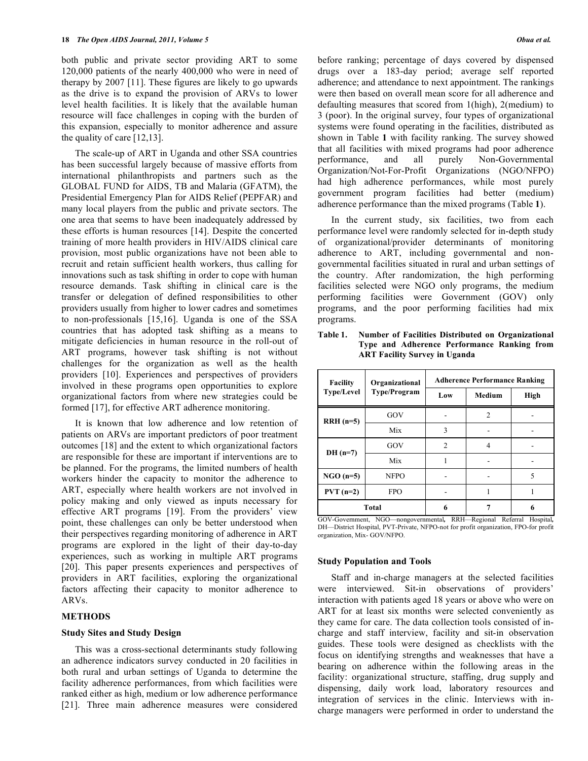both public and private sector providing ART to some 120,000 patients of the nearly 400,000 who were in need of therapy by 2007 [11]. These figures are likely to go upwards as the drive is to expand the provision of ARVs to lower level health facilities. It is likely that the available human resource will face challenges in coping with the burden of this expansion, especially to monitor adherence and assure the quality of care [12,13].

 The scale-up of ART in Uganda and other SSA countries has been successful largely because of massive efforts from international philanthropists and partners such as the GLOBAL FUND for AIDS, TB and Malaria (GFATM), the Presidential Emergency Plan for AIDS Relief (PEPFAR) and many local players from the public and private sectors. The one area that seems to have been inadequately addressed by these efforts is human resources [14]. Despite the concerted training of more health providers in HIV/AIDS clinical care provision, most public organizations have not been able to recruit and retain sufficient health workers, thus calling for innovations such as task shifting in order to cope with human resource demands. Task shifting in clinical care is the transfer or delegation of defined responsibilities to other providers usually from higher to lower cadres and sometimes to non-professionals [15,16]. Uganda is one of the SSA countries that has adopted task shifting as a means to mitigate deficiencies in human resource in the roll-out of ART programs, however task shifting is not without challenges for the organization as well as the health providers [10]. Experiences and perspectives of providers involved in these programs open opportunities to explore organizational factors from where new strategies could be formed [17], for effective ART adherence monitoring.

 It is known that low adherence and low retention of patients on ARVs are important predictors of poor treatment outcomes [18] and the extent to which organizational factors are responsible for these are important if interventions are to be planned. For the programs, the limited numbers of health workers hinder the capacity to monitor the adherence to ART, especially where health workers are not involved in policy making and only viewed as inputs necessary for effective ART programs [19]. From the providers' view point, these challenges can only be better understood when their perspectives regarding monitoring of adherence in ART programs are explored in the light of their day-to-day experiences, such as working in multiple ART programs [20]. This paper presents experiences and perspectives of providers in ART facilities, exploring the organizational factors affecting their capacity to monitor adherence to ARVs.

#### **METHODS**

#### **Study Sites and Study Design**

 This was a cross-sectional determinants study following an adherence indicators survey conducted in 20 facilities in both rural and urban settings of Uganda to determine the facility adherence performances, from which facilities were ranked either as high, medium or low adherence performance [21]. Three main adherence measures were considered before ranking; percentage of days covered by dispensed drugs over a 183-day period; average self reported adherence; and attendance to next appointment. The rankings were then based on overall mean score for all adherence and defaulting measures that scored from 1(high), 2(medium) to 3 (poor). In the original survey, four types of organizational systems were found operating in the facilities, distributed as shown in Table **1** with facility ranking. The survey showed that all facilities with mixed programs had poor adherence performance, and all purely Non-Governmental Organization/Not-For-Profit Organizations (NGO/NFPO) had high adherence performances, while most purely government program facilities had better (medium) adherence performance than the mixed programs (Table **1**).

 In the current study, six facilities, two from each performance level were randomly selected for in-depth study of organizational/provider determinants of monitoring adherence to ART, including governmental and nongovernmental facilities situated in rural and urban settings of the country. After randomization, the high performing facilities selected were NGO only programs, the medium performing facilities were Government (GOV) only programs, and the poor performing facilities had mix programs.

| <b>Facility</b>   | Organizational<br>Type/Program | <b>Adherence Performance Ranking</b> |               |      |  |
|-------------------|--------------------------------|--------------------------------------|---------------|------|--|
| <b>Type/Level</b> |                                | Low                                  | <b>Medium</b> | High |  |
| $RRH(n=5)$        | GOV                            |                                      | 2             |      |  |
|                   | Mix                            | 3                                    |               |      |  |
| $DH(n=7)$         | GOV                            | $\mathfrak{D}$                       | 4             |      |  |
|                   | Mix                            |                                      |               |      |  |
| $NGO(n=5)$        | <b>NFPO</b>                    |                                      |               | 5    |  |
| $PVT (n=2)$       | <b>FPO</b>                     |                                      |               |      |  |
| <b>Total</b>      |                                | 6                                    |               |      |  |

**Table 1. Number of Facilities Distributed on Organizational Type and Adherence Performance Ranking from ART Facility Survey in Uganda** 

GOV-Government, NGO—nongovernmental*,* RRH—Regional Referral Hospital*,*  DH—District Hospital, PVT-Private, NFPO-not for profit organization, FPO-for profit organization, Mix- GOV/NFPO.

#### **Study Population and Tools**

 Staff and in-charge managers at the selected facilities were interviewed. Sit-in observations of providers' interaction with patients aged 18 years or above who were on ART for at least six months were selected conveniently as they came for care. The data collection tools consisted of incharge and staff interview, facility and sit-in observation guides. These tools were designed as checklists with the focus on identifying strengths and weaknesses that have a bearing on adherence within the following areas in the facility: organizational structure, staffing, drug supply and dispensing, daily work load, laboratory resources and integration of services in the clinic. Interviews with incharge managers were performed in order to understand the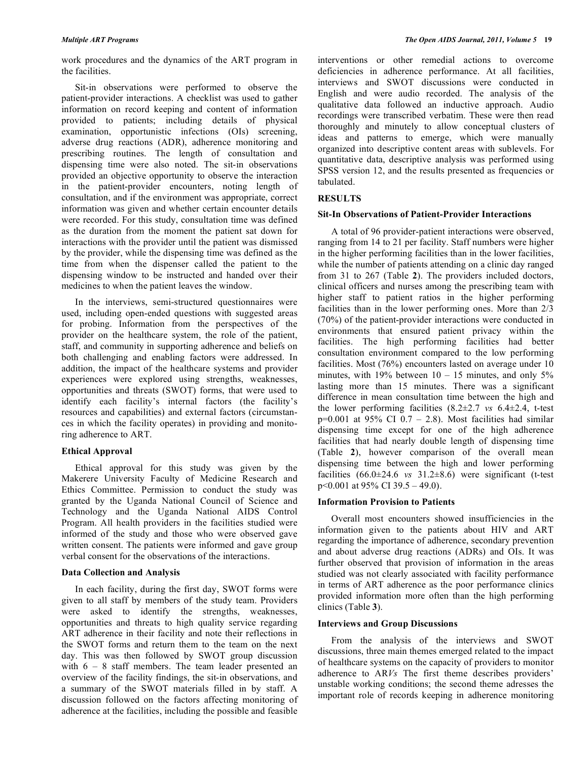work procedures and the dynamics of the ART program in the facilities.

 Sit-in observations were performed to observe the patient-provider interactions. A checklist was used to gather information on record keeping and content of information provided to patients; including details of physical examination, opportunistic infections (OIs) screening, adverse drug reactions (ADR), adherence monitoring and prescribing routines. The length of consultation and dispensing time were also noted. The sit-in observations provided an objective opportunity to observe the interaction in the patient-provider encounters, noting length of consultation, and if the environment was appropriate, correct information was given and whether certain encounter details were recorded. For this study, consultation time was defined as the duration from the moment the patient sat down for interactions with the provider until the patient was dismissed by the provider, while the dispensing time was defined as the time from when the dispenser called the patient to the dispensing window to be instructed and handed over their medicines to when the patient leaves the window.

 In the interviews, semi-structured questionnaires were used, including open-ended questions with suggested areas for probing. Information from the perspectives of the provider on the healthcare system, the role of the patient, staff, and community in supporting adherence and beliefs on both challenging and enabling factors were addressed. In addition, the impact of the healthcare systems and provider experiences were explored using strengths, weaknesses, opportunities and threats (SWOT) forms, that were used to identify each facility's internal factors (the facility's resources and capabilities) and external factors (circumstances in which the facility operates) in providing and monitoring adherence to ART.

# **Ethical Approval**

 Ethical approval for this study was given by the Makerere University Faculty of Medicine Research and Ethics Committee. Permission to conduct the study was granted by the Uganda National Council of Science and Technology and the Uganda National AIDS Control Program. All health providers in the facilities studied were informed of the study and those who were observed gave written consent. The patients were informed and gave group verbal consent for the observations of the interactions.

# **Data Collection and Analysis**

 In each facility, during the first day, SWOT forms were given to all staff by members of the study team. Providers were asked to identify the strengths, weaknesses, opportunities and threats to high quality service regarding ART adherence in their facility and note their reflections in the SWOT forms and return them to the team on the next day. This was then followed by SWOT group discussion with 6 – 8 staff members. The team leader presented an overview of the facility findings, the sit-in observations, and a summary of the SWOT materials filled in by staff. A discussion followed on the factors affecting monitoring of adherence at the facilities, including the possible and feasible

interventions or other remedial actions to overcome deficiencies in adherence performance. At all facilities, interviews and SWOT discussions were conducted in English and were audio recorded. The analysis of the qualitative data followed an inductive approach. Audio recordings were transcribed verbatim. These were then read thoroughly and minutely to allow conceptual clusters of ideas and patterns to emerge, which were manually organized into descriptive content areas with sublevels. For quantitative data, descriptive analysis was performed using SPSS version 12, and the results presented as frequencies or tabulated.

# **RESULTS**

# **Sit-In Observations of Patient-Provider Interactions**

 A total of 96 provider-patient interactions were observed, ranging from 14 to 21 per facility. Staff numbers were higher in the higher performing facilities than in the lower facilities, while the number of patients attending on a clinic day ranged from 31 to 267 (Table **2**). The providers included doctors, clinical officers and nurses among the prescribing team with higher staff to patient ratios in the higher performing facilities than in the lower performing ones. More than 2/3 (70%) of the patient-provider interactions were conducted in environments that ensured patient privacy within the facilities. The high performing facilities had better consultation environment compared to the low performing facilities. Most (76%) encounters lasted on average under 10 minutes, with 19% between  $10 - 15$  minutes, and only 5% lasting more than 15 minutes. There was a significant difference in mean consultation time between the high and the lower performing facilities (8.2±2.7 *vs* 6.4±2.4, t-test  $p=0.001$  at 95% CI 0.7 – 2.8). Most facilities had similar dispensing time except for one of the high adherence facilities that had nearly double length of dispensing time (Table **2**), however comparison of the overall mean dispensing time between the high and lower performing facilities  $(66.0\pm24.6 \text{ vs } 31.2\pm8.6)$  were significant (t-test p<0.001 at 95% CI 39.5 – 49.0).

# **Information Provision to Patients**

 Overall most encounters showed insufficiencies in the information given to the patients about HIV and ART regarding the importance of adherence, secondary prevention and about adverse drug reactions (ADRs) and OIs. It was further observed that provision of information in the areas studied was not clearly associated with facility performance in terms of ART adherence as the poor performance clinics provided information more often than the high performing clinics (Table **3**).

# **Interviews and Group Discussions**

 From the analysis of the interviews and SWOT discussions, three main themes emerged related to the impact of healthcare systems on the capacity of providers to monitor adherence to AR*Vs* The first theme describes providers' unstable working conditions; the second theme adresses the important role of records keeping in adherence monitoring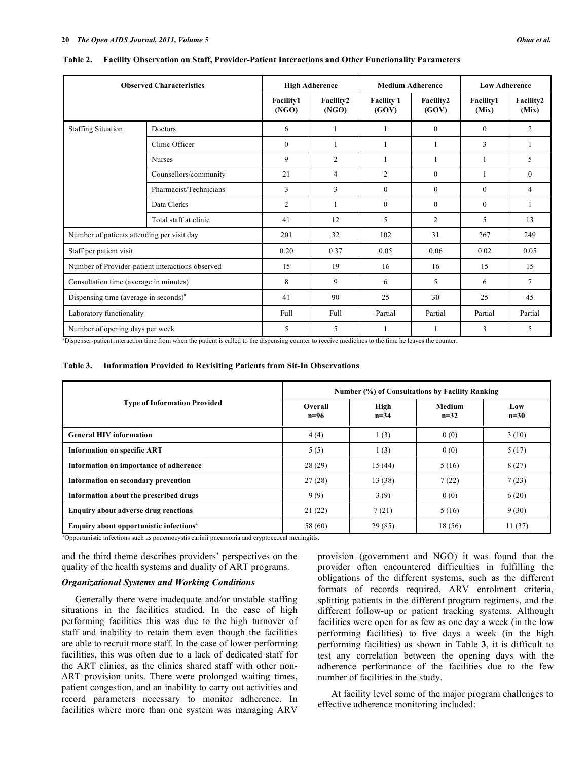| <b>Observed Characteristics</b>                   |                        | <b>High Adherence</b>     |                    | <b>Medium Adherence</b>    |                    | <b>Low Adherence</b>      |                    |
|---------------------------------------------------|------------------------|---------------------------|--------------------|----------------------------|--------------------|---------------------------|--------------------|
|                                                   |                        | <b>Facility1</b><br>(NGO) | Facility2<br>(NGO) | <b>Facility 1</b><br>(GOV) | Facility2<br>(GOV) | <b>Facility1</b><br>(Mix) | Facility2<br>(Mix) |
| <b>Staffing Situation</b>                         | Doctors                | 6                         | 1                  |                            | $\mathbf{0}$       | $\mathbf{0}$              | $\overline{2}$     |
|                                                   | Clinic Officer         | $\mathbf{0}$              |                    |                            |                    | 3                         | 1                  |
|                                                   | <b>Nurses</b>          | 9                         | $\overline{2}$     |                            |                    | 1                         | 5                  |
|                                                   | Counsellors/community  | 21                        | $\overline{4}$     | $\overline{2}$             | $\Omega$           | 1                         | $\theta$           |
|                                                   | Pharmacist/Technicians | 3                         | 3                  | $\theta$                   | $\Omega$           | $\theta$                  | 4                  |
|                                                   | Data Clerks            | $\overline{2}$            |                    | $\Omega$                   | $\mathbf{0}$       | $\mathbf{0}$              | 1                  |
|                                                   | Total staff at clinic  | 41                        | 12                 | 5                          | $\overline{2}$     | 5                         | 13                 |
| Number of patients attending per visit day        |                        | 201                       | 32                 | 102                        | 31                 | 267                       | 249                |
| Staff per patient visit                           |                        | 0.20                      | 0.37               | 0.05                       | 0.06               | 0.02                      | 0.05               |
| Number of Provider-patient interactions observed  |                        | 15                        | 19                 | 16                         | 16                 | 15                        | 15                 |
| Consultation time (average in minutes)            |                        | 8                         | 9                  | 6                          | 5                  | 6                         | $\overline{7}$     |
| Dispensing time (average in seconds) <sup>a</sup> |                        | 41                        | 90                 | 25                         | 30                 | 25                        | 45                 |
| Laboratory functionality                          |                        | Full                      | Full               | Partial                    | Partial            | Partial                   | Partial            |
| Number of opening days per week                   |                        | 5                         | 5                  |                            |                    | 3                         | 5                  |

**Table 2. Facility Observation on Staff, Provider-Patient Interactions and Other Functionality Parameters** 

a Dispenser-patient interaction time from when the patient is called to the dispensing counter to receive medicines to the time he leaves the counter.

#### **Table 3. Information Provided to Revisiting Patients from Sit-In Observations**

|                                                     | Number (%) of Consultations by Facility Ranking |                  |                  |               |  |
|-----------------------------------------------------|-------------------------------------------------|------------------|------------------|---------------|--|
| <b>Type of Information Provided</b>                 | Overall<br>$n=96$                               | High<br>$n = 34$ | Medium<br>$n=32$ | Low<br>$n=30$ |  |
| <b>General HIV information</b>                      | 4(4)                                            | 1(3)             | 0(0)             | 3(10)         |  |
| <b>Information on specific ART</b>                  | 5(5)                                            | 1(3)             | 0(0)             | 5(17)         |  |
| Information on importance of adherence              | 28(29)                                          | 15(44)           | 5(16)            | 8(27)         |  |
| Information on secondary prevention                 | 27(28)                                          | 13 (38)          | 7(22)            | 7(23)         |  |
| Information about the prescribed drugs              | 9(9)                                            | 3(9)             | 0(0)             | 6(20)         |  |
| <b>Enquiry about adverse drug reactions</b>         | 21(22)                                          | 7(21)            | 5(16)            | 9(30)         |  |
| Enquiry about opportunistic infections <sup>a</sup> | 58 (60)                                         | 29(85)           | 18 (56)          | 11(37)        |  |

a Opportunistic infections such as pnuemocystis carinii pneumonia and cryptoccocal meningitis.

and the third theme describes providers' perspectives on the quality of the health systems and duality of ART programs.

### *Organizational Systems and Working Conditions*

 Generally there were inadequate and/or unstable staffing situations in the facilities studied. In the case of high performing facilities this was due to the high turnover of staff and inability to retain them even though the facilities are able to recruit more staff. In the case of lower performing facilities, this was often due to a lack of dedicated staff for the ART clinics, as the clinics shared staff with other non-ART provision units. There were prolonged waiting times, patient congestion, and an inability to carry out activities and record parameters necessary to monitor adherence. In facilities where more than one system was managing ARV

provision (government and NGO) it was found that the provider often encountered difficulties in fulfilling the obligations of the different systems, such as the different formats of records required, ARV enrolment criteria, splitting patients in the different program regimens, and the different follow-up or patient tracking systems. Although facilities were open for as few as one day a week (in the low performing facilities) to five days a week (in the high performing facilities) as shown in Table **3**, it is difficult to test any correlation between the opening days with the adherence performance of the facilities due to the few number of facilities in the study.

 At facility level some of the major program challenges to effective adherence monitoring included: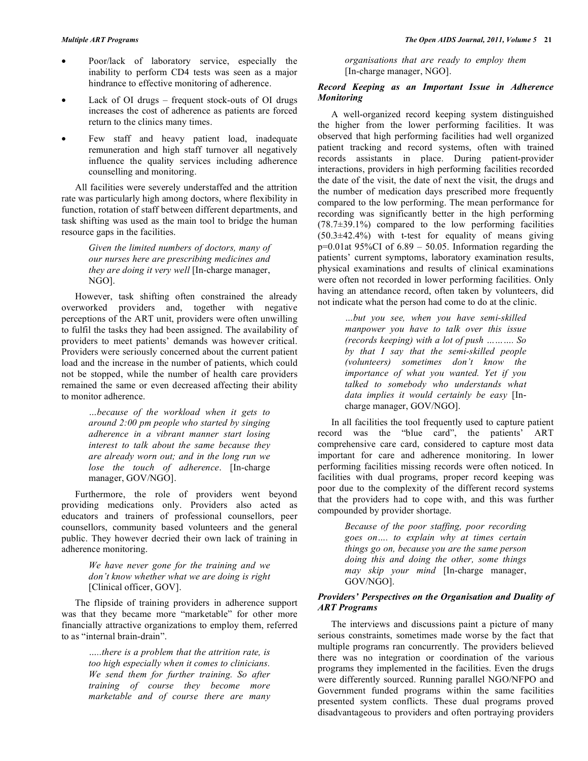- Poor/lack of laboratory service, especially the inability to perform CD4 tests was seen as a major hindrance to effective monitoring of adherence.
- Lack of OI drugs frequent stock-outs of OI drugs increases the cost of adherence as patients are forced return to the clinics many times.
- Few staff and heavy patient load, inadequate remuneration and high staff turnover all negatively influence the quality services including adherence counselling and monitoring.

 All facilities were severely understaffed and the attrition rate was particularly high among doctors, where flexibility in function, rotation of staff between different departments, and task shifting was used as the main tool to bridge the human resource gaps in the facilities.

> *Given the limited numbers of doctors, many of our nurses here are prescribing medicines and they are doing it very well* [In-charge manager, NGO].

 However, task shifting often constrained the already overworked providers and, together with negative perceptions of the ART unit, providers were often unwilling to fulfil the tasks they had been assigned. The availability of providers to meet patients' demands was however critical. Providers were seriously concerned about the current patient load and the increase in the number of patients, which could not be stopped, while the number of health care providers remained the same or even decreased affecting their ability to monitor adherence.

> *…because of the workload when it gets to around 2:00 pm people who started by singing adherence in a vibrant manner start losing interest to talk about the same because they are already worn out; and in the long run we lose the touch of adherence*. [In-charge manager, GOV/NGO].

 Furthermore, the role of providers went beyond providing medications only. Providers also acted as educators and trainers of professional counsellors, peer counsellors, community based volunteers and the general public. They however decried their own lack of training in adherence monitoring.

> *We have never gone for the training and we don't know whether what we are doing is right* [Clinical officer, GOV].

 The flipside of training providers in adherence support was that they became more "marketable" for other more financially attractive organizations to employ them, referred to as "internal brain-drain".

> *…..there is a problem that the attrition rate, is too high especially when it comes to clinicians. We send them for further training. So after training of course they become more marketable and of course there are many*

*organisations that are ready to employ them* [In-charge manager, NGO].

# *Record Keeping as an Important Issue in Adherence Monitoring*

 A well-organized record keeping system distinguished the higher from the lower performing facilities. It was observed that high performing facilities had well organized patient tracking and record systems, often with trained records assistants in place. During patient-provider interactions, providers in high performing facilities recorded the date of the visit, the date of next the visit, the drugs and the number of medication days prescribed more frequently compared to the low performing. The mean performance for recording was significantly better in the high performing (78.7±39.1%) compared to the low performing facilities  $(50.3\pm42.4\%)$  with t-test for equality of means giving  $p=0.01$ at 95%CI of 6.89 – 50.05. Information regarding the patients' current symptoms, laboratory examination results, physical examinations and results of clinical examinations were often not recorded in lower performing facilities. Only having an attendance record, often taken by volunteers, did not indicate what the person had come to do at the clinic.

> *…but you see, when you have semi-skilled manpower you have to talk over this issue (records keeping) with a lot of push ………. So by that I say that the semi-skilled people (volunteers) sometimes don't know the importance of what you wanted. Yet if you talked to somebody who understands what data implies it would certainly be easy* [Incharge manager, GOV/NGO].

 In all facilities the tool frequently used to capture patient record was the "blue card", the patients' ART comprehensive care card, considered to capture most data important for care and adherence monitoring. In lower performing facilities missing records were often noticed. In facilities with dual programs, proper record keeping was poor due to the complexity of the different record systems that the providers had to cope with, and this was further compounded by provider shortage.

> *Because of the poor staffing, poor recording goes on…. to explain why at times certain things go on, because you are the same person doing this and doing the other, some things may skip your mind* [In-charge manager, GOV/NGO].

# *Providers' Perspectives on the Organisation and Duality of ART Programs*

 The interviews and discussions paint a picture of many serious constraints, sometimes made worse by the fact that multiple programs ran concurrently. The providers believed there was no integration or coordination of the various programs they implemented in the facilities. Even the drugs were differently sourced. Running parallel NGO/NFPO and Government funded programs within the same facilities presented system conflicts. These dual programs proved disadvantageous to providers and often portraying providers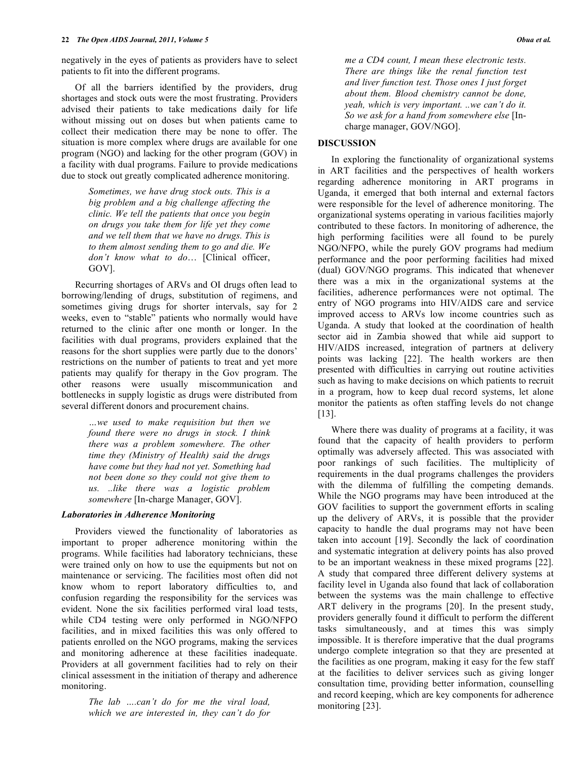negatively in the eyes of patients as providers have to select patients to fit into the different programs.

 Of all the barriers identified by the providers, drug shortages and stock outs were the most frustrating. Providers advised their patients to take medications daily for life without missing out on doses but when patients came to collect their medication there may be none to offer. The situation is more complex where drugs are available for one program (NGO) and lacking for the other program (GOV) in a facility with dual programs. Failure to provide medications due to stock out greatly complicated adherence monitoring.

> *Sometimes, we have drug stock outs. This is a big problem and a big challenge affecting the clinic. We tell the patients that once you begin on drugs you take them for life yet they come and we tell them that we have no drugs. This is to them almost sending them to go and die. We don't know what to do*… [Clinical officer, GOV].

 Recurring shortages of ARVs and OI drugs often lead to borrowing/lending of drugs, substitution of regimens, and sometimes giving drugs for shorter intervals, say for 2 weeks, even to "stable" patients who normally would have returned to the clinic after one month or longer. In the facilities with dual programs, providers explained that the reasons for the short supplies were partly due to the donors' restrictions on the number of patients to treat and yet more patients may qualify for therapy in the Gov program. The other reasons were usually miscommunication and bottlenecks in supply logistic as drugs were distributed from several different donors and procurement chains.

> *…we used to make requisition but then we found there were no drugs in stock. I think there was a problem somewhere. The other time they (Ministry of Health) said the drugs have come but they had not yet. Something had not been done so they could not give them to us. ..like there was a logistic problem somewhere* [In-charge Manager, GOV].

#### *Laboratories in Adherence Monitoring*

 Providers viewed the functionality of laboratories as important to proper adherence monitoring within the programs. While facilities had laboratory technicians, these were trained only on how to use the equipments but not on maintenance or servicing. The facilities most often did not know whom to report laboratory difficulties to, and confusion regarding the responsibility for the services was evident. None the six facilities performed viral load tests, while CD4 testing were only performed in NGO/NFPO facilities, and in mixed facilities this was only offered to patients enrolled on the NGO programs, making the services and monitoring adherence at these facilities inadequate. Providers at all government facilities had to rely on their clinical assessment in the initiation of therapy and adherence monitoring.

> *The lab ….can't do for me the viral load, which we are interested in, they can't do for*

## **DISCUSSION**

 In exploring the functionality of organizational systems in ART facilities and the perspectives of health workers regarding adherence monitoring in ART programs in Uganda, it emerged that both internal and external factors were responsible for the level of adherence monitoring. The organizational systems operating in various facilities majorly contributed to these factors. In monitoring of adherence, the high performing facilities were all found to be purely NGO/NFPO, while the purely GOV programs had medium performance and the poor performing facilities had mixed (dual) GOV/NGO programs. This indicated that whenever there was a mix in the organizational systems at the facilities, adherence performances were not optimal. The entry of NGO programs into HIV/AIDS care and service improved access to ARVs low income countries such as Uganda. A study that looked at the coordination of health sector aid in Zambia showed that while aid support to HIV/AIDS increased, integration of partners at delivery points was lacking [22]. The health workers are then presented with difficulties in carrying out routine activities such as having to make decisions on which patients to recruit in a program, how to keep dual record systems, let alone monitor the patients as often staffing levels do not change [13].

 Where there was duality of programs at a facility, it was found that the capacity of health providers to perform optimally was adversely affected. This was associated with poor rankings of such facilities. The multiplicity of requirements in the dual programs challenges the providers with the dilemma of fulfilling the competing demands. While the NGO programs may have been introduced at the GOV facilities to support the government efforts in scaling up the delivery of ARVs, it is possible that the provider capacity to handle the dual programs may not have been taken into account [19]. Secondly the lack of coordination and systematic integration at delivery points has also proved to be an important weakness in these mixed programs [22]. A study that compared three different delivery systems at facility level in Uganda also found that lack of collaboration between the systems was the main challenge to effective ART delivery in the programs [20]. In the present study, providers generally found it difficult to perform the different tasks simultaneously, and at times this was simply impossible. It is therefore imperative that the dual programs undergo complete integration so that they are presented at the facilities as one program, making it easy for the few staff at the facilities to deliver services such as giving longer consultation time, providing better information, counselling and record keeping, which are key components for adherence monitoring [23].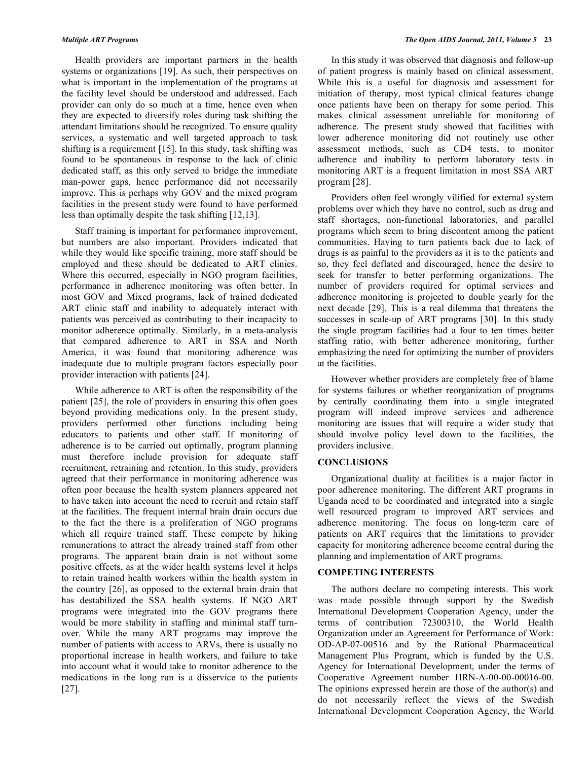Health providers are important partners in the health systems or organizations [19]. As such, their perspectives on what is important in the implementation of the programs at the facility level should be understood and addressed. Each provider can only do so much at a time, hence even when they are expected to diversify roles during task shifting the attendant limitations should be recognized. To ensure quality services, a systematic and well targeted approach to task shifting is a requirement [15]. In this study, task shifting was found to be spontaneous in response to the lack of clinic dedicated staff, as this only served to bridge the immediate man-power gaps, hence performance did not necessarily improve. This is perhaps why GOV and the mixed program facilities in the present study were found to have performed less than optimally despite the task shifting [12,13].

 Staff training is important for performance improvement, but numbers are also important. Providers indicated that while they would like specific training, more staff should be employed and these should be dedicated to ART clinics. Where this occurred, especially in NGO program facilities, performance in adherence monitoring was often better. In most GOV and Mixed programs, lack of trained dedicated ART clinic staff and inability to adequately interact with patients was perceived as contributing to their incapacity to monitor adherence optimally. Similarly, in a meta-analysis that compared adherence to ART in SSA and North America, it was found that monitoring adherence was inadequate due to multiple program factors especially poor provider interaction with patients [24].

 While adherence to ART is often the responsibility of the patient [25], the role of providers in ensuring this often goes beyond providing medications only. In the present study, providers performed other functions including being educators to patients and other staff. If monitoring of adherence is to be carried out optimally, program planning must therefore include provision for adequate staff recruitment, retraining and retention. In this study, providers agreed that their performance in monitoring adherence was often poor because the health system planners appeared not to have taken into account the need to recruit and retain staff at the facilities. The frequent internal brain drain occurs due to the fact the there is a proliferation of NGO programs which all require trained staff. These compete by hiking remunerations to attract the already trained staff from other programs. The apparent brain drain is not without some positive effects, as at the wider health systems level it helps to retain trained health workers within the health system in the country [26], as opposed to the external brain drain that has destabilized the SSA health systems. If NGO ART programs were integrated into the GOV programs there would be more stability in staffing and minimal staff turnover. While the many ART programs may improve the number of patients with access to ARVs, there is usually no proportional increase in health workers, and failure to take into account what it would take to monitor adherence to the medications in the long run is a disservice to the patients [27].

 In this study it was observed that diagnosis and follow-up of patient progress is mainly based on clinical assessment. While this is a useful for diagnosis and assessment for initiation of therapy, most typical clinical features change once patients have been on therapy for some period. This makes clinical assessment unreliable for monitoring of adherence. The present study showed that facilities with lower adherence monitoring did not routinely use other assessment methods, such as CD4 tests, to monitor adherence and inability to perform laboratory tests in monitoring ART is a frequent limitation in most SSA ART program [28].

 Providers often feel wrongly vilified for external system problems over which they have no control, such as drug and staff shortages, non-functional laboratories, and parallel programs which seem to bring discontent among the patient communities. Having to turn patients back due to lack of drugs is as painful to the providers as it is to the patients and so, they feel deflated and discouraged, hence the desire to seek for transfer to better performing organizations. The number of providers required for optimal services and adherence monitoring is projected to double yearly for the next decade [29]. This is a real dilemma that threatens the successes in scale-up of ART programs [30]. In this study the single program facilities had a four to ten times better staffing ratio, with better adherence monitoring, further emphasizing the need for optimizing the number of providers at the facilities.

 However whether providers are completely free of blame for systems failures or whether reorganization of programs by centrally coordinating them into a single integrated program will indeed improve services and adherence monitoring are issues that will require a wider study that should involve policy level down to the facilities, the providers inclusive.

#### **CONCLUSIONS**

 Organizational duality at facilities is a major factor in poor adherence monitoring. The different ART programs in Uganda need to be coordinated and integrated into a single well resourced program to improved ART services and adherence monitoring. The focus on long-term care of patients on ART requires that the limitations to provider capacity for monitoring adherence become central during the planning and implementation of ART programs.

## **COMPETING INTERESTS**

 The authors declare no competing interests. This work was made possible through support by the Swedish International Development Cooperation Agency, under the terms of contribution 72300310, the World Health Organization under an Agreement for Performance of Work: OD-AP-07-00516 and by the Rational Pharmaceutical Management Plus Program, which is funded by the U.S. Agency for International Development, under the terms of Cooperative Agreement number HRN-A-00-00-00016-00. The opinions expressed herein are those of the author(s) and do not necessarily reflect the views of the Swedish International Development Cooperation Agency, the World